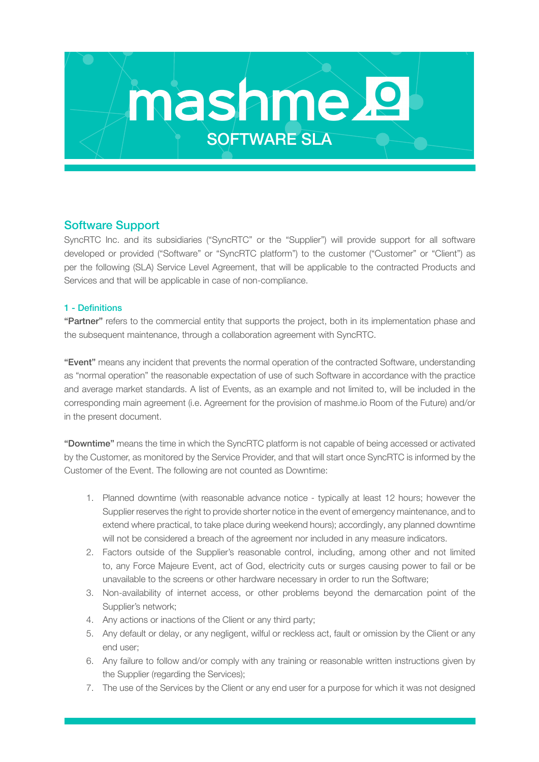# mashmel SOFTWARE SLA

# Software Support

SyncRTC Inc. and its subsidiaries ("SyncRTC" or the "Supplier") will provide support for all software developed or provided ("Software" or "SyncRTC platform") to the customer ("Customer" or "Client") as per the following (SLA) Service Level Agreement, that will be applicable to the contracted Products and Services and that will be applicable in case of non-compliance.

# 1 - Definitions

"Partner" refers to the commercial entity that supports the project, both in its implementation phase and the subsequent maintenance, through a collaboration agreement with SyncRTC.

"Event" means any incident that prevents the normal operation of the contracted Software, understanding as "normal operation" the reasonable expectation of use of such Software in accordance with the practice and average market standards. A list of Events, as an example and not limited to, will be included in the corresponding main agreement (i.e. Agreement for the provision of mashme.io Room of the Future) and/or in the present document.

"Downtime" means the time in which the SyncRTC platform is not capable of being accessed or activated by the Customer, as monitored by the Service Provider, and that will start once SyncRTC is informed by the Customer of the Event. The following are not counted as Downtime:

- 1. Planned downtime (with reasonable advance notice typically at least 12 hours; however the Supplier reserves the right to provide shorter notice in the event of emergency maintenance, and to extend where practical, to take place during weekend hours); accordingly, any planned downtime will not be considered a breach of the agreement nor included in any measure indicators.
- 2. Factors outside of the Supplier's reasonable control, including, among other and not limited to, any Force Majeure Event, act of God, electricity cuts or surges causing power to fail or be unavailable to the screens or other hardware necessary in order to run the Software;
- 3. Non-availability of internet access, or other problems beyond the demarcation point of the Supplier's network;
- 4. Any actions or inactions of the Client or any third party;
- 5. Any default or delay, or any negligent, wilful or reckless act, fault or omission by the Client or any end user;
- 6. Any failure to follow and/or comply with any training or reasonable written instructions given by the Supplier (regarding the Services);
- 7. The use of the Services by the Client or any end user for a purpose for which it was not designed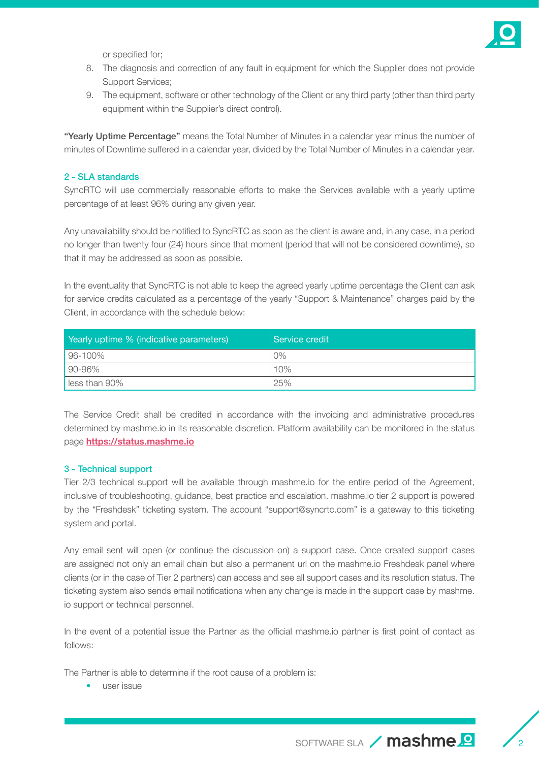

or specified for;

- 8. The diagnosis and correction of any fault in equipment for which the Supplier does not provide Support Services;
- 9. The equipment, software or other technology of the Client or any third party (other than third party equipment within the Supplier's direct control).

"Yearly Uptime Percentage" means the Total Number of Minutes in a calendar year minus the number of minutes of Downtime suffered in a calendar year, divided by the Total Number of Minutes in a calendar year.

#### 2 - SLA standards

SyncRTC will use commercially reasonable efforts to make the Services available with a yearly uptime percentage of at least 96% during any given year.

Any unavailability should be notified to SyncRTC as soon as the client is aware and, in any case, in a period no longer than twenty four (24) hours since that moment (period that will not be considered downtime), so that it may be addressed as soon as possible.

In the eventuality that SyncRTC is not able to keep the agreed yearly uptime percentage the Client can ask for service credits calculated as a percentage of the yearly "Support & Maintenance" charges paid by the Client, in accordance with the schedule below:

| Yearly uptime % (indicative parameters) | l Service credit |
|-----------------------------------------|------------------|
| $96 - 100\%$                            | O%               |
| $90 - 96%$                              | 10%              |
| I less than 90%                         | 25%              |

The Service Credit shall be credited in accordance with the invoicing and administrative procedures determined by mashme.io in its reasonable discretion. Platform availability can be monitored in the status page **<https://status.mashme.io>**

#### 3 - Technical support

Tier 2/3 technical support will be available through mashme.io for the entire period of the Agreement, inclusive of troubleshooting, guidance, best practice and escalation. mashme.io tier 2 support is powered by the "Freshdesk" ticketing system. The account "support@syncrtc.com" is a gateway to this ticketing system and portal.

Any email sent will open (or continue the discussion on) a support case. Once created support cases are assigned not only an email chain but also a permanent url on the mashme.io Freshdesk panel where clients (or in the case of Tier 2 partners) can access and see all support cases and its resolution status. The ticketing system also sends email notifications when any change is made in the support case by mashme. io support or technical personnel.

In the event of a potential issue the Partner as the official mashme.io partner is first point of contact as follows:

The Partner is able to determine if the root cause of a problem is:

• user issue

SOFTWARE SLA / mashme<sup>0</sup>

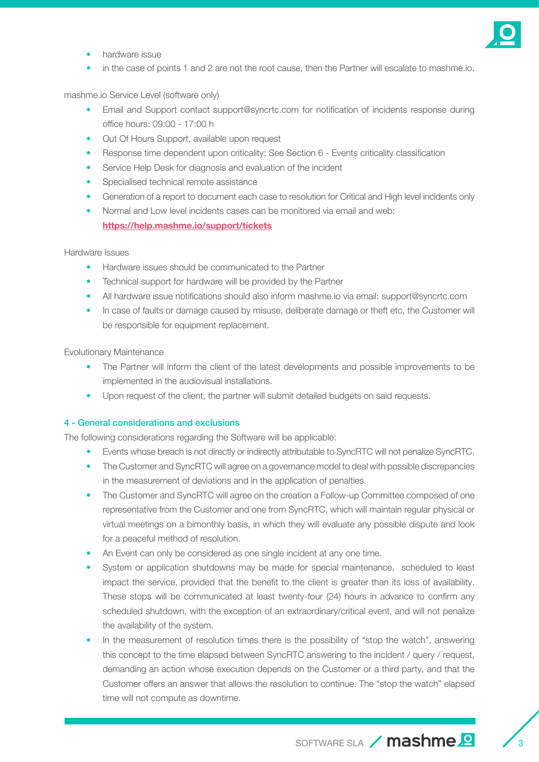

- hardware issue
- in the case of points 1 and 2 are not the root cause, then the Partner will escalate to mashme.io.

mashme.io Service Level (software only)

- Email and Support contact support@syncrtc.com for notification of incidents response during office hours: 09:00 - 17:00 h
- Out Of Hours Support, available upon request
- Response time dependent upon criticality: See Section 6 Events criticality classification
- Service Help Desk for diagnosis and evaluation of the incident
- Specialised technical remote assistance
- Generation of a report to document each case to resolution for Critical and High level incidents only
- Normal and Low level incidents cases can be monitored via email and web: **<https://help.mashme.io/support/tickets>**

#### Hardware Issues

- Hardware issues should be communicated to the Partner
- Technical support for hardware will be provided by the Partner
- All hardware issue notifications should also inform mashme.io via email: support@syncrtc.com
- In case of faults or damage caused by misuse, deliberate damage or theft etc, the Customer will be responsible for equipment replacement.

Evolutionary Maintenance

- The Partner will inform the client of the latest developments and possible improvements to be implemented in the audiovisual installations.
- Upon request of the client, the partner will submit detailed budgets on said requests.

#### 4 - General considerations and exclusions

The following considerations regarding the Software will be applicable:

- Events whose breach is not directly or indirectly attributable to SyncRTC will not penalize SyncRTC.
- The Customer and SyncRTC will agree on a governance model to deal with possible discrepancies in the measurement of deviations and in the application of penalties.
- The Customer and SyncRTC will agree on the creation a Follow-up Committee composed of one representative from the Customer and one from SyncRTC, which will maintain regular physical or virtual meetings on a bimonthly basis, in which they will evaluate any possible dispute and look for a peaceful method of resolution.
- An Event can only be considered as one single incident at any one time.
- System or application shutdowns may be made for special maintenance, scheduled to least impact the service, provided that the benefit to the client is greater than its loss of availability. These stops will be communicated at least twenty-four (24) hours in advance to confirm any scheduled shutdown, with the exception of an extraordinary/critical event, and will not penalize the availability of the system.
- In the measurement of resolution times there is the possibility of "stop the watch", answering this concept to the time elapsed between SyncRTC answering to the incident / query / request, demanding an action whose execution depends on the Customer or a third party, and that the Customer offers an answer that allows the resolution to continue. The "stop the watch" elapsed time will not compute as downtime.

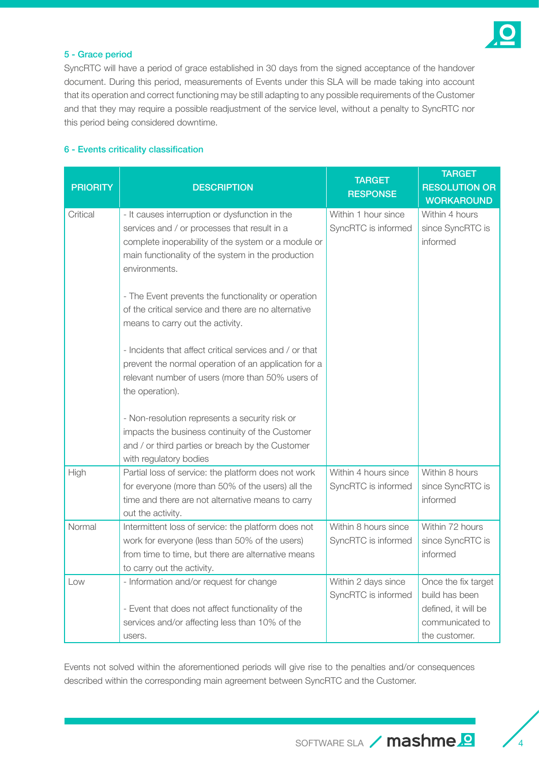

## 5 - Grace period

SyncRTC will have a period of grace established in 30 days from the signed acceptance of the handover document. During this period, measurements of Events under this SLA will be made taking into account that its operation and correct functioning may be still adapting to any possible requirements of the Customer and that they may require a possible readjustment of the service level, without a penalty to SyncRTC nor this period being considered downtime.

### 6 - Events criticality classification

| <b>PRIORITY</b> | <b>DESCRIPTION</b>                                                                                    | <b>TARGET</b><br><b>RESPONSE</b>            | <b>TARGET</b><br><b>RESOLUTION OR</b><br><b>WORKAROUND</b> |
|-----------------|-------------------------------------------------------------------------------------------------------|---------------------------------------------|------------------------------------------------------------|
| Critical        | - It causes interruption or dysfunction in the                                                        | Within 1 hour since                         | Within 4 hours                                             |
|                 | services and / or processes that result in a                                                          | SyncRTC is informed                         | since SyncRTC is                                           |
|                 | complete inoperability of the system or a module or                                                   |                                             | informed                                                   |
|                 | main functionality of the system in the production<br>environments.                                   |                                             |                                                            |
|                 | - The Event prevents the functionality or operation                                                   |                                             |                                                            |
|                 | of the critical service and there are no alternative                                                  |                                             |                                                            |
|                 | means to carry out the activity.                                                                      |                                             |                                                            |
|                 | - Incidents that affect critical services and / or that                                               |                                             |                                                            |
|                 | prevent the normal operation of an application for a                                                  |                                             |                                                            |
|                 | relevant number of users (more than 50% users of                                                      |                                             |                                                            |
|                 | the operation).                                                                                       |                                             |                                                            |
|                 | - Non-resolution represents a security risk or                                                        |                                             |                                                            |
|                 | impacts the business continuity of the Customer                                                       |                                             |                                                            |
|                 | and / or third parties or breach by the Customer                                                      |                                             |                                                            |
|                 | with regulatory bodies                                                                                |                                             |                                                            |
| High            | Partial loss of service: the platform does not work                                                   | Within 4 hours since                        | Within 8 hours                                             |
|                 | for everyone (more than 50% of the users) all the                                                     | SyncRTC is informed                         | since SyncRTC is                                           |
|                 | time and there are not alternative means to carry                                                     |                                             | informed                                                   |
| Normal          | out the activity.                                                                                     |                                             |                                                            |
|                 | Intermittent loss of service: the platform does not<br>work for everyone (less than 50% of the users) | Within 8 hours since<br>SyncRTC is informed | Within 72 hours<br>since SyncRTC is                        |
|                 | from time to time, but there are alternative means                                                    |                                             | informed                                                   |
|                 | to carry out the activity.                                                                            |                                             |                                                            |
| Low             | - Information and/or request for change                                                               | Within 2 days since                         | Once the fix target                                        |
|                 |                                                                                                       | SyncRTC is informed                         | build has been                                             |
|                 | - Event that does not affect functionality of the                                                     |                                             | defined, it will be                                        |
|                 | services and/or affecting less than 10% of the                                                        |                                             | communicated to                                            |
|                 | users.                                                                                                |                                             | the customer.                                              |

Events not solved within the aforementioned periods will give rise to the penalties and/or consequences described within the corresponding main agreement between SyncRTC and the Customer.

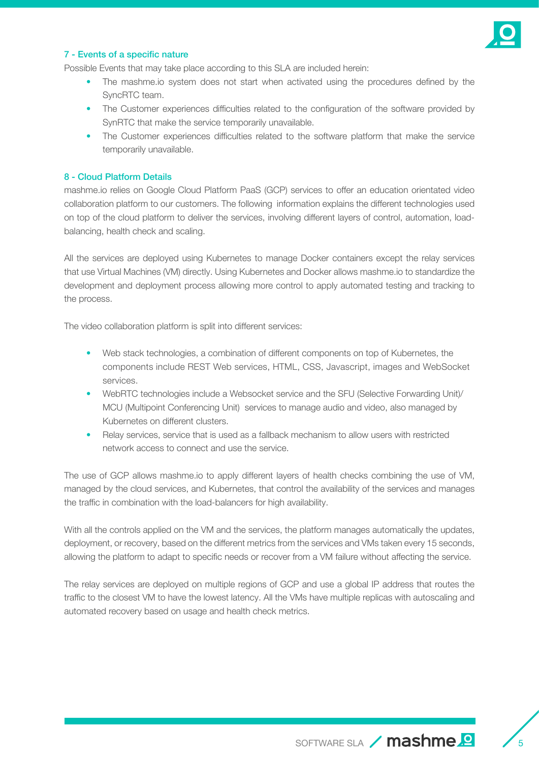

#### 7 - Events of a specific nature

Possible Events that may take place according to this SLA are included herein:

- The mashme.io system does not start when activated using the procedures defined by the SyncRTC team.
- The Customer experiences difficulties related to the configuration of the software provided by SynRTC that make the service temporarily unavailable.
- The Customer experiences difficulties related to the software platform that make the service temporarily unavailable.

#### 8 - Cloud Platform Details

mashme.io relies on Google Cloud Platform PaaS (GCP) services to offer an education orientated video collaboration platform to our customers. The following information explains the different technologies used on top of the cloud platform to deliver the services, involving different layers of control, automation, loadbalancing, health check and scaling.

All the services are deployed using Kubernetes to manage Docker containers except the relay services that use Virtual Machines (VM) directly. Using Kubernetes and Docker allows mashme.io to standardize the development and deployment process allowing more control to apply automated testing and tracking to the process.

The video collaboration platform is split into different services:

- Web stack technologies, a combination of different components on top of Kubernetes, the components include REST Web services, HTML, CSS, Javascript, images and WebSocket services.
- WebRTC technologies include a Websocket service and the SFU (Selective Forwarding Unit)/ MCU (Multipoint Conferencing Unit) services to manage audio and video, also managed by Kubernetes on different clusters.
- Relay services, service that is used as a fallback mechanism to allow users with restricted network access to connect and use the service.

The use of GCP allows mashme.io to apply different layers of health checks combining the use of VM, managed by the cloud services, and Kubernetes, that control the availability of the services and manages the traffic in combination with the load-balancers for high availability.

With all the controls applied on the VM and the services, the platform manages automatically the updates, deployment, or recovery, based on the different metrics from the services and VMs taken every 15 seconds, allowing the platform to adapt to specific needs or recover from a VM failure without affecting the service.

The relay services are deployed on multiple regions of GCP and use a global IP address that routes the traffic to the closest VM to have the lowest latency. All the VMs have multiple replicas with autoscaling and automated recovery based on usage and health check metrics.